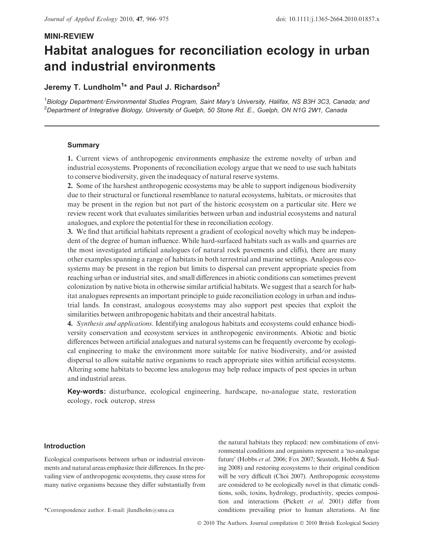# Habitat analogues for reconciliation ecology in urban and industrial environments

## Jeremy T. Lundholm $^{1\star}$  and Paul J. Richardson $^2$

1Biology Department/Environmental Studies Program, Saint Mary's University, Halifax, NS B3H 3C3, Canada; and  $^{2}$ Department of Integrative Biology, University of Guelph, 50 Stone Rd. E., Guelph, ON N1G 2W1, Canada

#### Summary

MINI-REVIEW

1. Current views of anthropogenic environments emphasize the extreme novelty of urban and industrial ecosystems. Proponents of reconciliation ecology argue that we need to use such habitats to conserve biodiversity, given the inadequacy of natural reserve systems.

2. Some of the harshest anthropogenic ecosystems may be able to support indigenous biodiversity due to their structural or functional resemblance to natural ecosystems, habitats, or microsites that may be present in the region but not part of the historic ecosystem on a particular site. Here we review recent work that evaluates similarities between urban and industrial ecosystems and natural analogues, and explore the potential for these in reconciliation ecology.

3. We find that artificial habitats represent a gradient of ecological novelty which may be independent of the degree of human influence. While hard-surfaced habitats such as walls and quarries are the most investigated artificial analogues (of natural rock pavements and cliffs), there are many other examples spanning a range of habitats in both terrestrial and marine settings. Analogous ecosystems may be present in the region but limits to dispersal can prevent appropriate species from reaching urban or industrial sites, and small differences in abiotic conditions can sometimes prevent colonization by native biota in otherwise similar artificial habitats. We suggest that a search for habitat analogues represents an important principle to guide reconciliation ecology in urban and industrial lands. In constrast, analogous ecosystems may also support pest species that exploit the similarities between anthropogenic habitats and their ancestral habitats.

4. Synthesis and applications. Identifying analogous habitats and ecosystems could enhance biodiversity conservation and ecosystem services in anthropogenic environments. Abiotic and biotic differences between artificial analogues and natural systems can be frequently overcome by ecological engineering to make the environment more suitable for native biodiversity, and⁄or assisted dispersal to allow suitable native organisms to reach appropriate sites within artificial ecosystems. Altering some habitats to become less analogous may help reduce impacts of pest species in urban and industrial areas.

Key-words: disturbance, ecological engineering, hardscape, no-analogue state, restoration ecology, rock outcrop, stress

#### Introduction

Ecological comparisons between urban or industrial environments and natural areas emphasize their differences. In the prevailing view of anthropogenic ecosystems, they cause stress for many native organisms because they differ substantially from

the natural habitats they replaced: new combinations of environmental conditions and organisms represent a 'no-analogue future' (Hobbs et al. 2006; Fox 2007; Seastedt, Hobbs & Suding 2008) and restoring ecosystems to their original condition will be very difficult (Choi 2007). Anthropogenic ecosystems are considered to be ecologically novel in that climatic conditions, soils, toxins, hydrology, productivity, species composition and interactions (Pickett et al. 2001) differ from \*Correspondence author. E-mail: jlundholm@smu.ca conditions prevailing prior to human alterations. At fine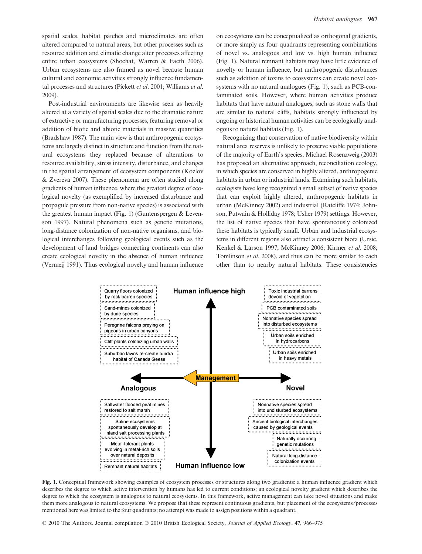spatial scales, habitat patches and microclimates are often altered compared to natural areas, but other processes such as resource addition and climatic change alter processes affecting entire urban ecosystems (Shochat, Warren & Faeth 2006). Urban ecosystems are also framed as novel because human cultural and economic activities strongly influence fundamental processes and structures (Pickett et al. 2001; Williams et al. 2009).

Post-industrial environments are likewise seen as heavily altered at a variety of spatial scales due to the dramatic nature of extractive or manufacturing processes, featuring removal or addition of biotic and abiotic materials in massive quantities (Bradshaw 1987). The main view is that anthropogenic ecosystems are largely distinct in structure and function from the natural ecosystems they replaced because of alterations to resource availability, stress intensity, disturbance, and changes in the spatial arrangement of ecosystem components (Kozlov & Zvereva 2007). These phenomena are often studied along gradients of human influence, where the greatest degree of ecological novelty (as exemplified by increased disturbance and propagule pressure from non-native species) is associated with the greatest human impact (Fig. 1) (Guntenspergen & Levenson 1997). Natural phenomena such as genetic mutations, long-distance colonization of non-native organisms, and biological interchanges following geological events such as the development of land bridges connecting continents can also create ecological novelty in the absence of human influence (Vermeij 1991). Thus ecological novelty and human influence on ecosystems can be conceptualized as orthogonal gradients, or more simply as four quadrants representing combinations of novel vs. analogous and low vs. high human influence (Fig. 1). Natural remnant habitats may have little evidence of novelty or human influence, but anthropogenic disturbances such as addition of toxins to ecosystems can create novel ecosystems with no natural analogues (Fig. 1), such as PCB-contaminated soils. However, where human activities produce habitats that have natural analogues, such as stone walls that are similar to natural cliffs, habitats strongly influenced by ongoing or historical human activities can be ecologically analogous to natural habitats (Fig. 1).

Recognizing that conservation of native biodiversity within natural area reserves is unlikely to preserve viable populations of the majority of Earth's species, Michael Rosenzweig (2003) has proposed an alternative approach, reconciliation ecology, in which species are conserved in highly altered, anthropogenic habitats in urban or industrial lands. Examining such habitats, ecologists have long recognized a small subset of native species that can exploit highly altered, anthropogenic habitats in urban (McKinney 2002) and industrial (Ratcliffe 1974; Johnson, Putwain & Holliday 1978; Usher 1979) settings. However, the list of native species that have spontaneously colonized these habitats is typically small. Urban and industrial ecosystems in different regions also attract a consistent biota (Ursic, Kenkel & Larson 1997; McKinney 2006; Kirmer et al. 2008; Tomlinson et al. 2008), and thus can be more similar to each other than to nearby natural habitats. These consistencies



Fig. 1. Conceptual framework showing examples of ecosystem processes or structures along two gradients: a human influence gradient which describes the degree to which active intervention by humans has led to current conditions; an ecological novelty gradient which describes the degree to which the ecosystem is analogous to natural ecosystems. In this framework, active management can take novel situations and make them more analogous to natural ecosystems. We propose that these represent continuous gradients, but placement of the ecosystems⁄ processes mentioned here was limited to the four quadrants; no attempt was made to assign positions within a quadrant.

© 2010 The Authors. Journal compilation © 2010 British Ecological Society, Journal of Applied Ecology, 47, 966–975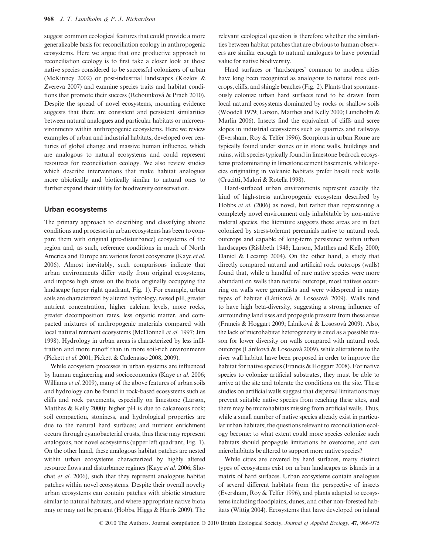suggest common ecological features that could provide a more generalizable basis for reconciliation ecology in anthropogenic ecosystems. Here we argue that one productive approach to reconciliation ecology is to first take a closer look at those native species considered to be successful colonizers of urban (McKinney 2002) or post-industrial landscapes (Kozlov & Zvereva 2007) and examine species traits and habitat conditions that promote their success (Rehounková & Prach 2010). Despite the spread of novel ecosystems, mounting evidence suggests that there are consistent and persistent similarities between natural analogues and particular habitats or microenvironments within anthropogenic ecosystems. Here we review examples of urban and industrial habitats, developed over centuries of global change and massive human influence, which are analogous to natural ecosystems and could represent resources for reconciliation ecology. We also review studies which describe interventions that make habitat analogues more abiotically and biotically similar to natural ones to further expand their utility for biodiversity conservation.

#### Urban ecosystems

The primary approach to describing and classifying abiotic conditions and processes in urban ecosystems has been to compare them with original (pre-disturbance) ecosystems of the region and, as such, reference conditions in much of North America and Europe are various forest ecosystems (Kaye et al. 2006). Almost inevitably, such comparisons indicate that urban environments differ vastly from original ecosystems, and impose high stress on the biota originally occupying the landscape (upper right quadrant, Fig. 1). For example, urban soils are characterized by altered hydrology, raised pH, greater nutrient concentration, higher calcium levels, more rocks, greater decomposition rates, less organic matter, and compacted mixtures of anthropogenic materials compared with local natural remnant ecosystems (McDonnell et al. 1997; Jim 1998). Hydrology in urban areas is characterized by less infiltration and more runoff than in more soil-rich environments (Pickett et al. 2001; Pickett & Cadenasso 2008, 2009).

While ecosystem processes in urban systems are influenced by human engineering and socioeconomics (Kaye et al. 2006; Williams et al. 2009), many of the above features of urban soils and hydrology can be found in rock-based ecosystems such as cliffs and rock pavements, especially on limestone (Larson, Matthes & Kelly 2000): higher pH is due to calcareous rock; soil compaction, stoniness, and hydrological properties are due to the natural hard surfaces; and nutrient enrichment occurs through cyanobacterial crusts, thus these may represent analogous, not novel ecosystems (upper left quadrant, Fig. 1). On the other hand, these analogous habitat patches are nested within urban ecosystems characterized by highly altered resource flows and disturbance regimes (Kaye et al. 2006; Shochat et al. 2006), such that they represent analogous habitat patches within novel ecosystems. Despite their overall novelty urban ecosystems can contain patches with abiotic structure similar to natural habitats, and where appropriate native biota may or may not be present (Hobbs, Higgs & Harris 2009). The relevant ecological question is therefore whether the similarities between habitat patches that are obvious to human observers are similar enough to natural analogues to have potential value for native biodiversity.

Hard surfaces or 'hardscapes' common to modern cities have long been recognized as analogous to natural rock outcrops, cliffs, and shingle beaches (Fig. 2). Plants that spontaneously colonize urban hard surfaces tend to be drawn from local natural ecosystems dominated by rocks or shallow soils (Woodell 1979; Larson, Matthes and Kelly 2000; Lundholm & Marlin 2006). Insects find the equivalent of cliffs and scree slopes in industrial ecosystems such as quarries and railways (Eversham, Roy & Telfer 1996). Scorpions in urban Rome are typically found under stones or in stone walls, buildings and ruins, with species typically found in limestone bedrock ecosystems predominating in limestone cement basements, while species originating in volcanic habitats prefer basalt rock walls (Crucitti, Malori & Rotella 1998).

Hard-surfaced urban environments represent exactly the kind of high-stress anthropogenic ecosystem described by Hobbs et al. (2006) as novel, but rather than representing a completely novel environment only inhabitable by non-native ruderal species, the literature suggests these areas are in fact colonized by stress-tolerant perennials native to natural rock outcrops and capable of long-term persistence within urban hardscapes (Rishbeth 1948; Larson, Matthes and Kelly 2000; Daniel & Lecamp 2004). On the other hand, a study that directly compared natural and artificial rock outcrops (walls) found that, while a handful of rare native species were more abundant on walls than natural outcrops, most natives occurring on walls were generalists and were widespread in many types of habitat (Láníková & Lososová 2009). Walls tend to have high beta-diversity, suggesting a strong influence of surrounding land uses and propagule pressure from these areas (Francis & Hoggart 2009; Láníková & Lososová 2009). Also, the lack of microhabitat heterogeneity is cited as a possible reason for lower diversity on walls compared with natural rock outcrops (Láníková & Lososová 2009), while alterations to the river wall habitat have been proposed in order to improve the habitat for native species (Francis & Hoggart 2008). For native species to colonize artificial substrates, they must be able to arrive at the site and tolerate the conditions on the site. These studies on artificial walls suggest that dispersal limitations may prevent suitable native species from reaching these sites, and there may be microhabitats missing from artificial walls. Thus, while a small number of native species already exist in particular urban habitats; the questions relevant to reconciliation ecology become: to what extent could more species colonize such habitats should propagule limitations be overcome, and can microhabitats be altered to support more native species?

While cities are covered by hard surfaces, many distinct types of ecosystems exist on urban landscapes as islands in a matrix of hard surfaces. Urban ecosystems contain analogues of several different habitats from the perspective of insects (Eversham, Roy & Telfer 1996), and plants adapted to ecosystems including floodplains, dunes, and other non-forested habitats (Wittig 2004). Ecosystems that have developed on inland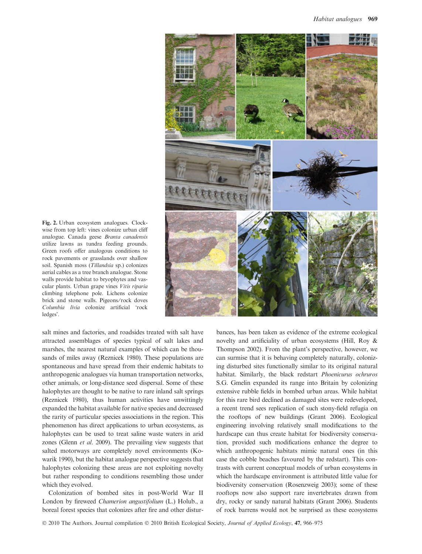

Fig. 2. Urban ecosystem analogues. Clockwise from top left: vines colonize urban cliff analogue. Canada geese Branta canadensis utilize lawns as tundra feeding grounds. Green roofs offer analogous conditions to rock pavements or grasslands over shallow soil. Spanish moss (Tillandsia sp.) colonizes aerial cables as a tree branch analogue. Stone walls provide habitat to bryophytes and vascular plants. Urban grape vines Vitis riparia climbing telephone pole. Lichens colonize brick and stone walls. Pigeons⁄rock doves Columbia livia colonize artificial 'rock ledges'

salt mines and factories, and roadsides treated with salt have attracted assemblages of species typical of salt lakes and marshes, the nearest natural examples of which can be thousands of miles away (Reznicek 1980). These populations are spontaneous and have spread from their endemic habitats to anthropogenic analogues via human transportation networks, other animals, or long-distance seed dispersal. Some of these halophytes are thought to be native to rare inland salt springs (Reznicek 1980), thus human activities have unwittingly expanded the habitat available for native species and decreased the rarity of particular species associations in the region. This phenomenon has direct applications to urban ecosystems, as halophytes can be used to treat saline waste waters in arid zones (Glenn et al. 2009). The prevailing view suggests that salted motorways are completely novel environments (Kowarik 1990), but the habitat analogue perspective suggests that halophytes colonizing these areas are not exploiting novelty but rather responding to conditions resembling those under which they evolved.

Colonization of bombed sites in post-World War II London by fireweed Chamerion angustifolium (L.) Holub., a boreal forest species that colonizes after fire and other disturbances, has been taken as evidence of the extreme ecological novelty and artificiality of urban ecosystems (Hill, Roy & Thompson 2002). From the plant's perspective, however, we can surmise that it is behaving completely naturally, colonizing disturbed sites functionally similar to its original natural habitat. Similarly, the black redstart Phoenicurus ochruros S.G. Gmelin expanded its range into Britain by colonizing extensive rubble fields in bombed urban areas. While habitat for this rare bird declined as damaged sites were redeveloped, a recent trend sees replication of such stony-field refugia on the rooftops of new buildings (Grant 2006). Ecological engineering involving relatively small modifications to the hardscape can thus create habitat for biodiversity conservation, provided such modifications enhance the degree to which anthropogenic habitats mimic natural ones (in this case the cobble beaches favoured by the redstart). This contrasts with current conceptual models of urban ecosystems in which the hardscape environment is attributed little value for biodiversity conservation (Rosenzweig 2003); some of these rooftops now also support rare invertebrates drawn from dry, rocky or sandy natural habitats (Grant 2006). Students of rock barrens would not be surprised as these ecosystems

© 2010 The Authors. Journal compilation © 2010 British Ecological Society, Journal of Applied Ecology, 47, 966–975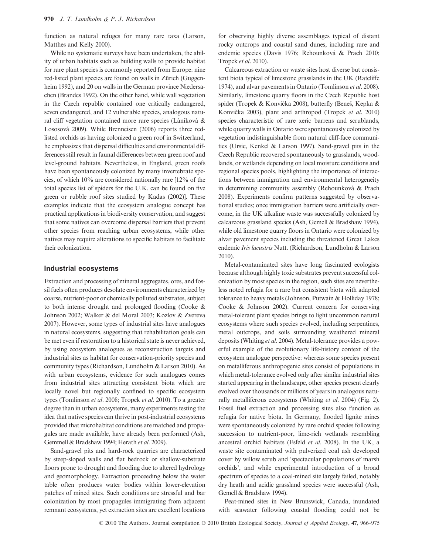function as natural refuges for many rare taxa (Larson, Matthes and Kelly 2000).

While no systematic surveys have been undertaken, the ability of urban habitats such as building walls to provide habitat for rare plant species is commonly reported from Europe: nine red-listed plant species are found on walls in Zürich (Guggenheim 1992), and 20 on walls in the German province Niedersachen (Brandes 1992). On the other hand, while wall vegetation in the Czech republic contained one critically endangered, seven endangered, and 12 vulnerable species, analogous natural cliff vegetation contained more rare species (Láníková & Lososová 2009). While Brenneisen (2006) reports three redlisted orchids as having colonized a green roof in Switzerland, he emphasizes that dispersal difficulties and environmental differences still result in faunal differences between green roof and level-ground habitats. Nevertheless, in England, green roofs have been spontaneously colonized by many invertebrate species, of which 10% are considered nationally rare [12% of the total species list of spiders for the U.K. can be found on five green or rubble roof sites studied by Kadas (2002)]. These examples indicate that the ecosystem analogue concept has practical applications in biodiversity conservation, and suggest that some natives can overcome dispersal barriers that prevent other species from reaching urban ecosystems, while other natives may require alterations to specific habitats to facilitate their colonization.

#### Industrial ecosystems

Extraction and processing of mineral aggregates, ores, and fossil fuels often produces desolate environments characterized by coarse, nutrient-poor or chemically polluted substrates, subject to both intense drought and prolonged flooding (Cooke & Johnson 2002; Walker & del Moral 2003; Kozlov & Zvereva 2007). However, some types of industrial sites have analogues in natural ecosystems, suggesting that rehabilitation goals can be met even if restoration to a historical state is never achieved, by using ecosystem analogues as reconstruction targets and industrial sites as habitat for conservation-priority species and community types (Richardson, Lundholm & Larson 2010). As with urban ecosystems, evidence for such analogues comes from industrial sites attracting consistent biota which are locally novel but regionally confined to specific ecosystem types (Tomlinson et al. 2008; Tropek et al. 2010). To a greater degree than in urban ecosystems, many experiments testing the idea that native species can thrive in post-industrial ecosystems provided that microhabitat conditions are matched and propagules are made available, have already been performed (Ash, Gemmell & Bradshaw 1994; Herath et al. 2009).

Sand-gravel pits and hard-rock quarries are characterized by steep-sloped walls and flat bedrock or shallow-substrate floors prone to drought and flooding due to altered hydrology and geomorphology. Extraction proceeding below the water table often produces water bodies within lower-elevation patches of mined sites. Such conditions are stressful and bar colonization by most propagules immigrating from adjacent remnant ecosystems, yet extraction sites are excellent locations for observing highly diverse assemblages typical of distant rocky outcrops and coastal sand dunes, including rare and endemic species (Davis 1976; Rehounková & Prach 2010; Tropek et al. 2010).

Calcareous extraction or waste sites host diverse but consistent biota typical of limestone grasslands in the UK (Ratcliffe 1974), and alvar pavements in Ontario (Tomlinson et al. 2008). Similarly, limestone quarry floors in the Czech Republic host spider (Tropek & Konvička 2008), butterfly (Beneš, Kepka & Konvička 2003), plant and arthropod (Tropek et al. 2010) species characteristic of rare xeric barrens and scrublands, while quarry walls in Ontario were spontaneously colonized by vegetation indistinguishable from natural cliff-face communities (Ursic, Kenkel & Larson 1997). Sand-gravel pits in the Czech Republic recovered spontaneously to grasslands, woodlands, or wetlands depending on local moisture conditions and regional species pools, highlighting the importance of interactions between immigration and environmental heterogeneity in determining community assembly (Rehounková & Prach 2008). Experiments confirm patterns suggested by observational studies; once immigration barriers were artificially overcome, in the UK alkaline waste was successfully colonized by calcareous grassland species (Ash, Gemell & Bradshaw 1994), while old limestone quarry floors in Ontario were colonized by alvar pavement species including the threatened Great Lakes endemic Iris lacustris Nutt. (Richardson, Lundholm & Larson 2010).

Metal-contaminated sites have long fascinated ecologists because although highly toxic substrates prevent successful colonization by most species in the region, such sites are nevertheless noted refugia for a rare but consistent biota with adapted tolerance to heavy metals (Johnson, Putwain & Holliday 1978; Cooke & Johnson 2002). Current concern for conserving metal-tolerant plant species brings to light uncommon natural ecosystems where such species evolved, including serpentines, metal outcrops, and soils surrounding weathered mineral deposits (Whiting et al. 2004). Metal-tolerance provides a powerful example of the evolutionary life-history context of the ecosystem analogue perspective: whereas some species present on metalliferous anthropogenic sites consist of populations in which metal-tolerance evolved only after similar industrial sites started appearing in the landscape, other species present clearly evolved over thousands or millions of years in analogous naturally metalliferous ecosystems (Whiting et al. 2004) (Fig. 2). Fossil fuel extraction and processing sites also function as refugia for native biota. In Germany, flooded lignite mines were spontaneously colonized by rare orchid species following succession to nutrient-poor, lime-rich wetlands resembling ancestral orchid habitats (Esfeld et al. 2008). In the UK, a waste site contaminated with pulverized coal ash developed cover by willow scrub and 'spectacular populations of marsh orchids', and while experimental introduction of a broad spectrum of species to a coal-mined site largely failed, notably dry heath and acidic grassland species were successful (Ash, Gemell & Bradshaw 1994).

Peat-mined sites in New Brunswick, Canada, inundated with seawater following coastal flooding could not be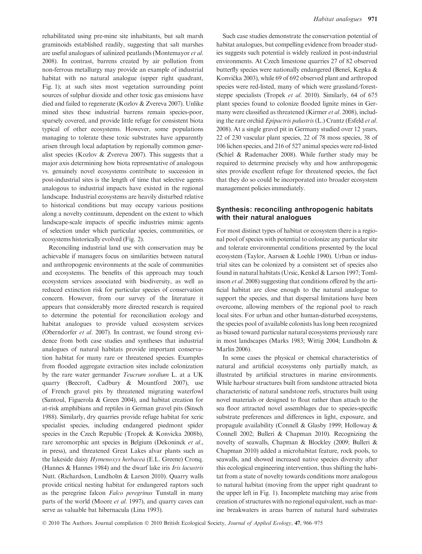rehabilitated using pre-mine site inhabitants, but salt marsh graminoids established readily, suggesting that salt marshes are useful analogues of salinized peatlands (Montemayor et al. 2008). In contrast, barrens created by air pollution from non-ferrous metallurgy may provide an example of industrial habitat with no natural analogue (upper right quadrant, Fig. 1); at such sites most vegetation surrounding point sources of sulphur dioxide and other toxic gas emissions have died and failed to regenerate (Kozlov & Zvereva 2007). Unlike mined sites these industrial barrens remain species-poor, sparsely covered, and provide little refuge for consistent biota typical of other ecosystems. However, some populations managing to tolerate these toxic substrates have apparently arisen through local adaptation by regionally common generalist species (Kozlov & Zvereva 2007). This suggests that a major axis determining how biota representative of analogous vs. genuinely novel ecosystems contribute to succession in post-industrial sites is the length of time that selective agents analogous to industrial impacts have existed in the regional landscape. Industrial ecosystems are heavily disturbed relative to historical conditions but may occupy various positions along a novelty continuum, dependent on the extent to which landscape-scale impacts of specific industries mimic agents of selection under which particular species, communities, or ecosystems historically evolved (Fig. 2).

Reconciling industrial land use with conservation may be achievable if managers focus on similarities between natural and anthropogenic environments at the scale of communities and ecosystems. The benefits of this approach may touch ecosystem services associated with biodiversity, as well as reduced extinction risk for particular species of conservation concern. However, from our survey of the literature it appears that considerably more directed research is required to determine the potential for reconciliation ecology and habitat analogues to provide valued ecosystem services (Oberndorfer et al. 2007). In contrast, we found strong evidence from both case studies and syntheses that industrial analogues of natural habitats provide important conservation habitat for many rare or threatened species. Examples from flooded aggregate extraction sites include colonization by the rare water germander Teucrum sordium L. at a UK quarry (Beecroft, Cadbury & Mountford 2007), use of French gravel pits by threatened migrating waterfowl (Santoul, Figuerola & Green 2004), and habitat creation for at-risk amphibians and reptiles in German gravel pits (Sinsch 1988). Similarly, dry quarries provide refuge habitat for xeric specialist species, including endangered piedmont spider species in the Czech Republic (Tropek & Konvicka 2008b), rare xeromorphic ant species in Belgium (Dekoninck et al., in press), and threatened Great Lakes alvar plants such as the lakeside daisy Hymenoxys herbacea (E.L. Greene) Cronq. (Hannes & Hannes 1984) and the dwarf lake iris Iris lacustris Nutt. (Richardson, Lundholm & Larson 2010). Quarry walls provide critical nesting habitat for endangered raptors such as the peregrine falcon Falco peregrinus Tunstall in many parts of the world (Moore et al. 1997), and quarry caves can serve as valuable bat hibernacula (Lina 1993).

Such case studies demonstrate the conservation potential of habitat analogues, but compelling evidence from broader studies suggests such potential is widely realized in post-industrial environments. At Czech limestone quarries 27 of 82 observed butterfly species were nationally endangered (Beneš, Kepka  $\&$ Konvička 2003), while 69 of 692 observed plant and arthropod species were red-listed, many of which were grassland⁄foreststeppe specialists (Tropek et al. 2010). Similarly, 64 of 675 plant species found to colonize flooded lignite mines in Germany were classified as threatened (Kirmer et al. 2008), including the rare orchid Epipactris palustris (L.) Crantz (Esfeld et al. 2008). At a single gravel pit in Germany studied over 12 years, 22 of 230 vascular plant species, 22 of 78 moss species, 38 of 106 lichen species, and 216 of 527 animal species were red-listed (Schiel & Rademacher 2008). While further study may be required to determine precisely why and how anthropogenic sites provide excellent refuge for threatened species, the fact that they do so could be incorporated into broader ecosystem management policies immediately.

### Synthesis: reconciling anthropogenic habitats with their natural analogues

For most distinct types of habitat or ecosystem there is a regional pool of species with potential to colonize any particular site and tolerate environmental conditions presented by the local ecosystem (Taylor, Aarssen & Loehle 1990). Urban or industrial sites can be colonized by a consistent set of species also found in natural habitats (Ursic, Kenkel & Larson 1997; Tomlinson et al. 2008) suggesting that conditions offered by the artificial habitat are close enough to the natural analogue to support the species, and that dispersal limitations have been overcome, allowing members of the regional pool to reach local sites. For urban and other human-disturbed ecosystems, the species pool of available colonists has long been recognized as biased toward particular natural ecosystems previously rare in most landscapes (Marks 1983; Wittig 2004; Lundholm & Marlin 2006).

In some cases the physical or chemical characteristics of natural and artificial ecosystems only partially match, as illustrated by artificial structures in marine environments. While harbour structures built from sandstone attracted biota characteristic of natural sandstone reefs, structures built using novel materials or designed to float rather than attach to the sea floor attracted novel assemblages due to species-specific substrate preferences and differences in light, exposure, and propagule availability (Connell & Glasby 1999; Holloway & Connell 2002; Bulleri & Chapman 2010). Recognizing the novelty of seawalls, Chapman & Blockley (2009; Bulleri & Chapman 2010) added a microhabitat feature, rock pools, to seawalls, and showed increased native species diversity after this ecological engineering intervention, thus shifting the habitat from a state of novelty towards conditions more analogous to natural habitat (moving from the upper right quadrant to the upper left in Fig. 1). Incomplete matching may arise from creation of structures with no regional equivalent, such as marine breakwaters in areas barren of natural hard substrates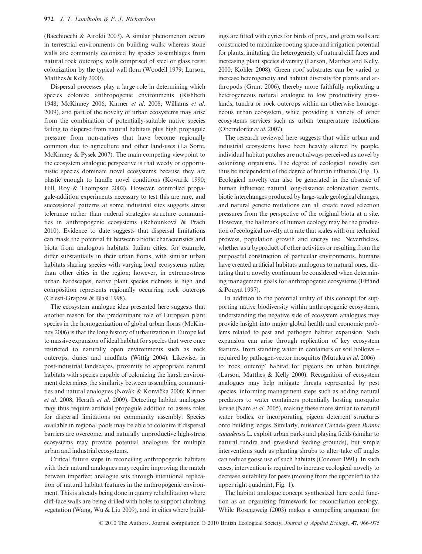(Bacchiocchi & Airoldi 2003). A similar phenomenon occurs in terrestrial environments on building walls: whereas stone walls are commonly colonized by species assemblages from natural rock outcrops, walls comprised of steel or glass resist colonization by the typical wall flora (Woodell 1979; Larson, Matthes & Kelly 2000).

Dispersal processes play a large role in determining which species colonize anthropogenic environments (Rishbeth 1948; McKinney 2006; Kirmer et al. 2008; Williams et al. 2009), and part of the novelty of urban ecosystems may arise from the combination of potentially-suitable native species failing to disperse from natural habitats plus high propagule pressure from non-natives that have become regionally common due to agriculture and other land-uses (La Sorte, McKinney & Pysek 2007). The main competing viewpoint to the ecosystem analogue perspective is that weedy or opportunistic species dominate novel ecosystems because they are plastic enough to handle novel conditions (Kowarik 1990; Hill, Roy & Thompson 2002). However, controlled propagule-addition experiments necessary to test this are rare, and successional patterns at some industrial sites suggests stress tolerance rather than ruderal strategies structure communities in anthropogenic ecosystems (Rehounková & Prach 2010). Evidence to date suggests that dispersal limitations can mask the potential fit between abiotic characteristics and biota from analogous habitats. Italian cities, for example, differ substantially in their urban floras, with similar urban habitats sharing species with varying local ecosystems rather than other cities in the region; however, in extreme-stress urban hardscapes, native plant species richness is high and composition represents regionally occurring rock outcrops (Celesti-Grapow & Blasi 1998).

The ecosystem analogue idea presented here suggests that another reason for the predominant role of European plant species in the homogenization of global urban floras (McKinney 2006) is that the long history of urbanization in Europe led to massive expansion of ideal habitat for species that were once restricted to naturally open environments such as rock outcrops, dunes and mudflats (Wittig 2004). Likewise, in post-industrial landscapes, proximity to appropriate natural habitats with species capable of colonizing the harsh environment determines the similarity between assembling communities and natural analogues (Novák & Konvička 2006; Kirmer et al. 2008; Herath et al. 2009). Detecting habitat analogues may thus require artificial propagule addition to assess roles for dispersal limitations on community assembly. Species available in regional pools may be able to colonize if dispersal barriers are overcome, and naturally unproductive high-stress ecosystems may provide potential analogues for multiple urban and industrial ecosystems.

Critical future steps in reconciling anthropogenic habitats with their natural analogues may require improving the match between imperfect analogue sets through intentional replication of natural habitat features in the anthropogenic environment. This is already being done in quarry rehabilitation where cliff-face walls are being drilled with holes to support climbing vegetation (Wang, Wu & Liu 2009), and in cities where buildings are fitted with eyries for birds of prey, and green walls are constructed to maximize rooting space and irrigation potential for plants, imitating the heterogeneity of natural cliff faces and increasing plant species diversity (Larson, Matthes and Kelly. 2000; Köhler 2008). Green roof substrates can be varied to increase heterogeneity and habitat diversity for plants and arthropods (Grant 2006), thereby more faithfully replicating a heterogeneous natural analogue to low productivity grasslands, tundra or rock outcrops within an otherwise homogeneous urban ecosystem, while providing a variety of other ecosystems services such as urban temperature reductions (Oberndorfer et al. 2007).

The research reviewed here suggests that while urban and industrial ecosystems have been heavily altered by people, individual habitat patches are not always perceived as novel by colonizing organisms. The degree of ecological novelty can thus be independent of the degree of human influence (Fig. 1). Ecological novelty can also be generated in the absence of human influence: natural long-distance colonization events, biotic interchanges produced by large-scale geological changes, and natural genetic mutations can all create novel selection pressures from the perspective of the original biota at a site. However, the hallmark of human ecology may be the production of ecological novelty at a rate that scales with our technical prowess, population growth and energy use. Nevertheless, whether as a byproduct of other activities or resulting from the purposeful construction of particular environments, humans have created artificial habitats analogous to natural ones, dictating that a novelty continuum be considered when determining management goals for anthropogenic ecosystems (Effland & Pouyat 1997).

In addition to the potential utility of this concept for supporting native biodiversity within anthropogenic ecosystems, understanding the negative side of ecosystem analogues may provide insight into major global health and economic problems related to pest and pathogen habitat expansion. Such expansion can arise through replication of key ecosystem features, from standing water in containers or soil hollows – required by pathogen-vector mosquitos (Mutuku et al. 2006) – to 'rock outcrop' habitat for pigeons on urban buildings (Larson, Matthes & Kelly 2000). Recognition of ecosystem analogues may help mitigate threats represented by pest species, informing management steps such as adding natural predators to water containers potentially hosting mosquito larvae (Nam et al. 2005), making these more similar to natural water bodies, or incorporating pigeon deterrent structures onto building ledges. Similarly, nuisance Canada geese Branta canadensis L. exploit urban parks and playing fields (similar to natural tundra and grassland feeding grounds), but simple interventions such as planting shrubs to alter take off angles can reduce goose use of such habitats (Conover 1991). In such cases, intervention is required to increase ecological novelty to decrease suitability for pests (moving from the upper left to the upper right quadrant, Fig. 1).

The habitat analogue concept synthesized here could function as an organizing framework for reconciliation ecology. While Rosenzweig (2003) makes a compelling argument for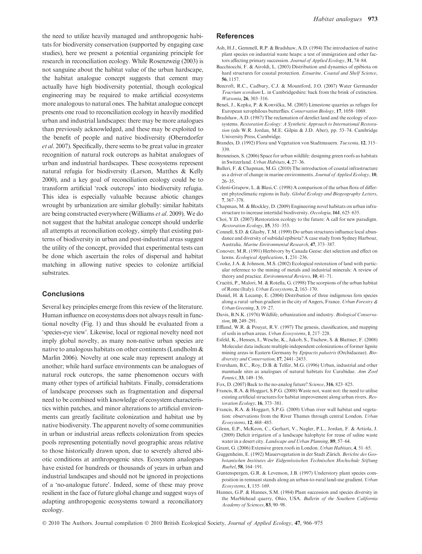the need to utilize heavily managed and anthropogenic habitats for biodiversity conservation (supported by engaging case studies), here we present a potential organizing principle for research in reconciliation ecology. While Rosenzweig (2003) is not sanguine about the habitat value of the urban hardscape, the habitat analogue concept suggests that cement may actually have high biodiversity potential, though ecological engineering may be required to make artificial ecosystems more analogous to natural ones. The habitat analogue concept presents one road to reconciliation ecology in heavily modified urban and industrial landscapes: there may be more analogues than previously acknowledged, and these may be exploited to the benefit of people and native biodiversity (Oberndorfer et al. 2007). Specifically, there seems to be great value in greater recognition of natural rock outcrops as habitat analogues of urban and industrial hardscapes. These ecosystems represent natural refugia for biodiversity (Larson, Matthes & Kelly 2000), and a key goal of reconciliation ecology could be to transform artificial 'rock outcrops' into biodiversity refugia. This idea is especially valuable because abiotic changes wrought by urbanization are similar globally: similar habitats are being constructed everywhere (Williams et al. 2009). We do not suggest that the habitat analogue concept should underlie all attempts at reconciliation ecology, simply that existing patterns of biodiversity in urban and post-industrial areas suggest the utility of the concept, provided that experimental tests can be done which ascertain the roles of dispersal and habitat matching in allowing native species to colonize artificial substrates.

#### **Conclusions**

Several key principles emerge from this review of the literature. Human influence on ecosystems does not always result in functional novelty (Fig. 1) and thus should be evaluated from a 'species-eye view'. Likewise, local or regional novelty need not imply global novelty, as many non-native urban species are native to analogous habitats on other continents (Lundholm & Marlin 2006). Novelty at one scale may represent analogy at another; while hard surface environments can be analogues of natural rock outcrops, the same phenomenon occurs with many other types of artificial habitats. Finally, considerations of landscape processes such as fragmentation and dispersal need to be combined with knowledge of ecosystem characteristics within patches, and minor alterations to artificial environments can greatly facilitate colonization and habitat use by native biodiversity. The apparent novelty of some communities in urban or industrial areas reflects colonization from species pools representing potentially novel geographic areas relative to those historically drawn upon, due to severely altered abiotic conditions at anthropogenic sites. Ecosystem analogues have existed for hundreds or thousands of years in urban and industrial landscapes and should not be ignored in projections of a 'no-analogue future'. Indeed, some of these may prove resilient in the face of future global change and suggest ways of adapting anthropogenic ecosystems toward a reconciliatory ecology.

#### **References**

- Ash, H.J., Gemmell, R.P. & Bradshaw, A.D. (1994) The introduction of native plant species on industrial waste heaps: a test of immigration and other factors affecting primary succession. Journal of Applied Ecology, 31, 74–84.
- Bacchiocchi, F. & Airoldi, L. (2003) Distribution and dynamics of epibiota on hard structures for coastal protection. Estuarine, Coastal and Shelf Science, 56, 1157.
- Beecroft, R.C., Cadbury, C.J. & Mountford, J.O. (2007) Water Germander Teucrium scordium L. in Cambridgeshire: back from the brink of extinction. Watsonia, 26, 303–316.
- Beneš, J., Kepka, P. & Konvička, M. (2003) Limestone quarries as refuges for European xerophilous butterflies. Conservation Biology, 17, 1058–1069.
- Bradshaw, A.D. (1987) The reclamation of derelict land and the ecology of ecosystems. Restoration Ecology: A Synthetic Approach to International Restoration (eds W.R. Jordan, M.E. Gilpin & J.D. Aber), pp. 53–74. Cambridge University Press, Cambridge.
- Brandes, D. (1992) Flora und Vegetation von Stadtmauern. Tuexenia, 12, 315– 339.
- Brenneisen, S. (2006) Space for urban wildlife: designing green roofs as habitats in Switzerland. Urban Habitats, 4, 27–36.
- Bulleri, F. & Chapman, M.G. (2010) The introduction of coastal infrastructure as a driver of change in marine environments. Journal of Applied Ecology, 10, 26–35.
- Celesti-Grapow, L. & Blasi, C. (1998) A comparison of the urban flora of different phytoclimatic regions in Italy. Global Ecology and Biogeography Letters, 7, 367–378.
- Chapman, M. & Blockley, D. (2009) Engineering novel habitats on urban infrastructure to increase intertidal biodiversity. Oecologia, 161, 625–635.
- Choi, Y.D. (2007) Restoration ecology to the future: A call for new paradigm. Restoration Ecology, 15, 351–353.
- Connell, S.D. & Glasby, T.M. (1999) Do urban structures influence local abundance and diversity of subtidal epibiota? A case study from Sydney Harbour, Australia. Marine Environmental Research, 47, 373–387.
- Conover, M.R. (1991) Herbivory by Canada Geese: diet selection and effect on lawns. Ecological Applications, 1, 231–236.
- Cooke, J.A. & Johnson, M.S. (2002) Ecological restoration of land with particular reference to the mining of metals and industrial minerals: A review of theory and practice. Environmental Reviews, 10, 41-71.
- Crucitti, P., Malori, M. & Rotella, G. (1998) The scorpions of the urban habitat of Rome (Italy). Urban Ecosystems, 2, 163–170.
- Daniel, H. & Lecamp, E. (2004) Distribution of three indigenous fern species along a rural–urban gradient in the city of Angers, France. Urban Forestry & Urban Greening, 3, 19–27.
- Davis, B.N.K. (1976) Wildlife, urbanization and industry. Biological Conservation, 10, 249–291.
- Effland, W.R. & Pouyat, R.V. (1997) The genesis, classification, and mapping of soils in urban areas. Urban Ecosystems, 1, 217–228.
- Esfeld, K., Hensen, I., Wesche, K., Jakob, S., Tischew, S. & Blattner, F. (2008) Molecular data indicate multiple independent colonizations of former lignite mining areas in Eastern Germany by Epipactis palustris (Orchidaceae). Biodiversity and Conservation, 17, 2441–2453.
- Eversham, B.C., Roy, D.B. & Telfer, M.G. (1996) Urban, industrial and other manmade sites as analogues of natural habitats for Carabidae. Ann Zool Fennici, 33, 149–156.
- Fox, D. (2007) Back to the no-analog future? Science, 316, 823–825.
- Francis, R.A. & Hoggart, S.P.G. (2008) Waste not, want not: the need to utilise existing artificial structures for habitat improvement along urban rivers. Restoration Ecology, 16, 373–381.
- Francis, R.A. & Hoggart, S.P.G. (2009) Urban river wall habitat and vegetation: observations from the River Thames through central London. Urban Ecosystems, 12, 468–485.
- Glenn, E.P., McKeon, C., Gerhart, V., Nagler, P.L., Jordan, F. & Artiola, J. (2009) Deficit irrigation of a landscape halophyte for reuse of saline waste water in a desert city. Landscape and Urban Planning, 89, 57–64.
- Grant, G. (2006) Extensive green roofs in London. Urban Habitats, 4, 51–65.
- Guggenheim, E. (1992) Mauervegetation in der Stadt Zürich. Berichte des Geobotanischen Institutes der Eidgenössischen Technischen Hochschule Stiftung Ruebel, 58, 164–191.
- Guntenspergen, G.R. & Levenson, J.B. (1997) Understory plant species composition in remnant stands along an urban-to-rural land-use gradient. Urban Ecosystems, 1, 155–169.
- Hannes, G.P. & Hannes, S.M. (1984) Plant succession and species diversity in the Marblehead quarry, Ohio, USA. Bulletin of the Southern California Academy of Sciences, 83, 90–98.

© 2010 The Authors. Journal compilation © 2010 British Ecological Society, Journal of Applied Ecology, 47, 966–975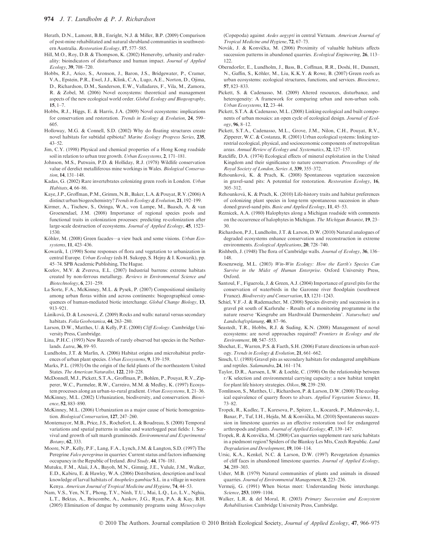- Herath, D.N., Lamont, B.B., Enright, N.J. & Miller, B.P. (2009) Comparison of post-mine rehabilitated and natural shrubland communities in southwestern Australia. Restoration Ecology, 17, 577–585.
- Hill, M.O., Roy, D.B. & Thompson, K. (2002) Hemeroby, urbanity and ruderality: bioindicators of disturbance and human impact. Journal of Applied Ecology, 39, 708–720.
- Hobbs, R.J., Arico, S., Aronson, J., Baron, J.S., Bridgewater, P., Cramer, V.A., Epstein, P.R., Ewel, J.J., Klink, C.A., Lugo, A.E., Norton, D., Ojima, D., Richardson, D.M., Sanderson, E.W., Valladares, F., Vila, M., Zamora, R. & Zobel, M. (2006) Novel ecosystems: theoretical and management aspects of the new ecological world order. Global Ecology and Biogeography,  $15, 1-7$
- Hobbs, R.J., Higgs, E. & Harris, J.A. (2009) Novel ecosystems: implications for conservation and restoration. Trends in Ecology & Evolution, 24, 599– 605.
- Holloway, M.G. & Connell, S.D. (2002) Why do floating structures create novel habitats for subtidal epibiota? Marine Ecology Progress Series, 235, 43–52.
- Jim, C.Y. (1998) Physical and chemical properties of a Hong Kong roadside soil in relation to urban tree growth. Urban Ecosystems, 2, 171–181.
- Johnson, M.S., Putwain, P.D. & Holliday, R.J. (1978) Wildlife conservation value of derelict metalliferous mine workings in Wales. Biological Conservation, 14, 131–148.
- Kadas, G. (2002) Rare invertebrates colonizing green roofs in London. Urban Habitats, 4, 66–86.
- Kaye, J.P., Groffman, P.M., Grimm, N.B., Baker, L.A. & Pouyat, R.V. (2006) A distinct urban biogeochemistry? Trends in Ecology & Evolution, 21, 192-199.
- Kirmer, A., Tischew, S., Ozinga, W.A., von Lampe, M., Baasch, A. & van Groenendael, J.M. (2008) Importance of regional species pools and functional traits in colonization processes: predicting re-colonization after large-scale destruction of ecosystems. Journal of Applied Ecology, 45, 1523– 1530.
- Köhler, M. (2008) Green facades—a view back and some visions. Urban Ecosystems, 11, 423–436.
- Kowarik, I. (1990) Some responses of flora and vegetation to urbanization in central Europe. Urban Ecology (eds H. Sukopp, S. Hejny & I. Kowarik), pp. 45–74. SPB Academic Publishing, The Hague.
- Kozlov, M.V. & Zvereva, E.L. (2007) Industrial barrens: extreme habitats created by non-ferrous metallurgy. Reviews in Environmental Science and Biotechnology, 6, 231–259.
- La Sorte, F.A., McKinney, M.L. & Pysek, P. (2007) Compositional similarity among urban floras within and across continents: biogeographical consequences of human-mediated biotic interchange. Global Change Biology, 13, 913–921.
- Láníková, D. & Lososová, Z. (2009) Rocks and walls: natural versus secondary habitats. Folia Geobotanica, 44, 263–280.
- Larson, D.W., Matthes, U. & Kelly, P.E. (2000) Cliff Ecology. Cambridge University Press, Cambridge.
- Lina, P.H.C. (1993) New Records of rarely observed bat species in the Netherlands. Lutra, 36, 89–93.
- Lundholm, J.T. & Marlin, A. (2006) Habitat origins and microhabitat preferences of urban plant species. Urban Ecosystems, 9, 139–159.
- Marks, P.L. (1983) On the origin of the field plants of the northeastern United States. The American Naturalist, 122, 210–228.
- McDonnell, M.J., Pickett, S.T.A., Groffman, P., Bohlen, P., Pouyat, R.V., Zipperer, W.C., Parmelee, R.W., Carreiro, M.M. & Medley, K. (1997) Ecosystem processes along an urban-to-rural gradient. Urban Ecosystems, 1, 21–36.
- McKinney, M.L. (2002) Urbanization, biodiversity, and conservation. Bioscience, 52, 883–890.
- McKinney, M.L. (2006) Urbanization as a major cause of biotic homogenization. Biological Conservation, 127, 247–260.
- Montemayor, M.B., Price, J.S., Rochefort, L. & Boudreau, S. (2008) Temporal variations and spatial patterns in saline and waterlogged peat fields: 1. Survival and growth of salt marsh graminoids. Environmental and Experimental Botany, 62, 333.
- Moore, N.P., Kelly, P.F., Lang, F.A., Lynch, J.M. & Langton, S.D. (1997) The Peregrine Falco peregrinus in quarries: Current status and factors influencing occupancy in the Republic of Ireland. Bird Study, 44, 176–181.
- Mutuku, F.M., Alaii, J.A., Bayoh, M.N., Gimnig, J.E., Vulule, J.M., Walker, E.D., Kabiru, E. & Hawley, W.A. (2006) Distribution, description and local knowledge of larval habitats of Anopheles gambiae S.L. in a village in western Kenya. American Journal of Tropical Medicine and Hygiene, 74, 44–53.
- Nam, V.S., Yen, N.T., Phong, T.V., Ninh, T.U., Mai, L.Q., Lo, L.V., Nghia, L.T., Bektas, A., Briscombe, A., Aaskov, J.G., Ryan, P.A. & Kay, B.H. (2005) Elimination of dengue by community programs using Mesocyclops

(Copepoda) against Aedes aegypti in central Vietnam. American Journal of Tropical Medicine and Hygiene, 72, 67–73.

- Novák, J. & Konvička, M. (2006) Proximity of valuable habitats affects succession patterns in abandoned quarries. Ecological Engineering, 26, 113-122.
- Oberndorfer, E., Lundholm, J., Bass, B., Coffman, R.R., Doshi, H., Dunnett, N., Gaffin, S., Köhler, M., Liu, K.K.Y. & Rowe, B. (2007) Green roofs as urban ecosystems: ecological structures, functions, and services. Bioscience, 57, 823–833.
- Pickett, S. & Cadenasso, M. (2009) Altered resources, disturbance, and heterogeneity: A framework for comparing urban and non-urban soils. Urban Ecosystems, 12, 23–44.
- Pickett, S.T.A. & Cadenasso, M.L. (2008) Linking ecological and built components of urban mosaics: an open cycle of ecological design. Journal of Ecology, 96, 8–12.
- Pickett, S.T.A., Cadenasso, M.L., Grove, J.M., Nilon, C.H., Pouyat, R.V., Zipperer, W.C. & Costanza, R. (2001) Urban ecological systems: linking terrestrial ecological, physical, and socioeconomic components of metropolitan areas. Annual Review of Ecology and. Systematics, 32, 127–157.
- Ratcliffe, D.A. (1974) Ecological effects of mineral exploitation in the United Kingdom and their significance to nature conservation. Proceedings of the Royal Society of London, Series A, 339, 355–372.
- Rehounková, K. & Prach, K. (2008) Spontaneous vegetation succession in gravel-sand pits: A potential for restoration. Restoration Ecology, 16, 305–312.
- Rehounková, K. & Prach, K. (2010) Life-history traits and habitat preferences of colonizing plant species in long-term spontaneous succession in abandoned gravel-sand pits. Basic and Applied Ecology, 11, 45–53.
- Reznicek, A.A. (1980) Halophytes along a Michigan roadside with comments on the occurrence of halophytes in Michigan. The Michigan Botanist, 19, 23– 30.
- Richardson, P.J., Lundholm, J.T. & Larson, D.W. (2010) Natural analogues of degraded ecosystems enhance conservation and reconstruction in extreme environments. Ecological Applications, 20, 728–740.
- Rishbeth, J. (1948) The flora of Cambridge walls. Journal of Ecology, 36, 136– 148.
- Rosenzweig, M.L. (2003) Win-Win Ecology: How the Earth's Species Can Survive in the Midst of Human Enterprise. Oxford University Press, Oxford.
- Santoul, F., Figuerola, J. & Green, A.J. (2004) Importance of gravel pits for the conservation of waterbirds in the Garonne river floodplain (southwest France). Biodiversity and Conservation, 13, 1231–1243.
- Schiel, V.F.-J. & Rademacher, M. (2008) Species diversity and succession in a gravel pit south of Karlsruhe - Results of a monitoring programme in the nature reserve 'Kiesgrube am Hardtwald Durmersheim'. Naturschutz und Landschaftsplanung, 40, 87–96.
- Seastedt, T.R., Hobbs, R.J. & Suding, K.N. (2008) Management of novel ecosystems: are novel approaches required? Frontiers in Ecology and the Environment, 10, 547–553.
- Shochat, E., Warren, P.S. & Faeth, S.H. (2006) Future directions in urban ecology. Trends in Ecology & Evolution, 21, 661–662.
- Sinsch, U. (1988) Gravel pits as secondary habitats for endangered amphibians and reptiles. Salamandra, 24, 161–174.
- Taylor, D.R., Aarssen, L.W. & Loehle, C. (1990) On the relationship between r⁄ K selection and environmental carrying capacity: a new habitat templet for plant life history strategies. Oikos, 58, 239–250.
- Tomlinson, S., Matthes, U., Richardson, P. & Larson, D.W. (2008) The ecological equivalence of quarry floors to alvars. Applied Vegetation Science, 11, 73–82.
- Tropek, R., Kadlec, T., Karesova, P., Spitzer, L., Kocarek, P., Malenovsky, I., Banar, P., Tuf, I.H., Hejda, M. & Konvička, M. (2010) Spontaneous succession in limestone quarries as an effective restoration tool for endangered arthropods and plants. Journal of Applied Ecology, 47, 139–147.
- Tropek, R. & Konvička, M. (2008) Can quarries supplement rare xeric habitats in a piedmont region? Spiders of the Blanksy Les Mts, Czech Republic. Land Degradation and Development, 19, 104–114.
- Ursic, K.A., Kenkel, N.C. & Larson, D.W. (1997) Revegetation dynamics of cliff faces in abandoned limestone quarries. Journal of Applied Ecology, 34, 289–303.
- Usher, M.B. (1979) Natural communities of plants and animals in disused quarries. Journal of Environmental Management, 8, 223–236.
- Vermeij, G. (1991) When biotas meet: Understanding biotic interchange. Science, 253, 1099–1104.
- Walker, L.R. & del Moral, R. (2003) Primary Succession and Ecosystem Rehabilitation. Cambridge University Press, Cambridge.